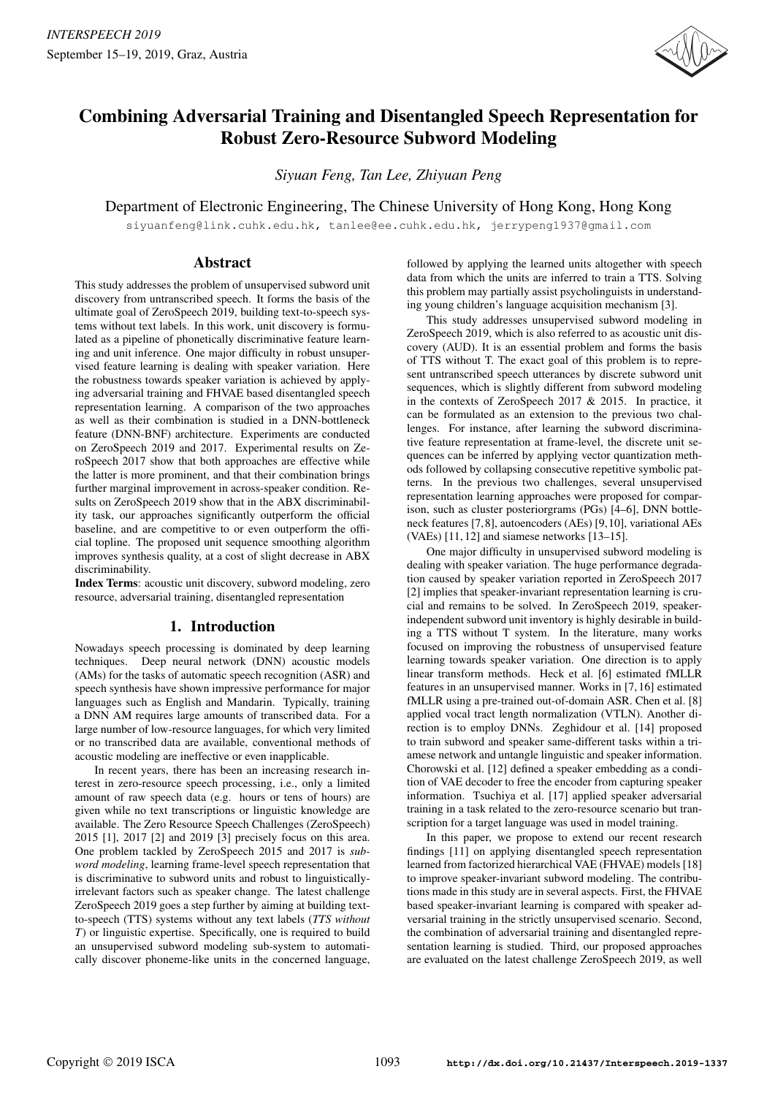

# Combining Adversarial Training and Disentangled Speech Representation for Robust Zero-Resource Subword Modeling

*Siyuan Feng, Tan Lee, Zhiyuan Peng*

Department of Electronic Engineering, The Chinese University of Hong Kong, Hong Kong

siyuanfeng@link.cuhk.edu.hk, tanlee@ee.cuhk.edu.hk, jerrypeng1937@gmail.com

## Abstract

This study addresses the problem of unsupervised subword unit discovery from untranscribed speech. It forms the basis of the ultimate goal of ZeroSpeech 2019, building text-to-speech systems without text labels. In this work, unit discovery is formulated as a pipeline of phonetically discriminative feature learning and unit inference. One major difficulty in robust unsupervised feature learning is dealing with speaker variation. Here the robustness towards speaker variation is achieved by applying adversarial training and FHVAE based disentangled speech representation learning. A comparison of the two approaches as well as their combination is studied in a DNN-bottleneck feature (DNN-BNF) architecture. Experiments are conducted on ZeroSpeech 2019 and 2017. Experimental results on ZeroSpeech 2017 show that both approaches are effective while the latter is more prominent, and that their combination brings further marginal improvement in across-speaker condition. Results on ZeroSpeech 2019 show that in the ABX discriminability task, our approaches significantly outperform the official baseline, and are competitive to or even outperform the official topline. The proposed unit sequence smoothing algorithm improves synthesis quality, at a cost of slight decrease in ABX discriminability.

Index Terms: acoustic unit discovery, subword modeling, zero resource, adversarial training, disentangled representation

# 1. Introduction

Nowadays speech processing is dominated by deep learning techniques. Deep neural network (DNN) acoustic models (AMs) for the tasks of automatic speech recognition (ASR) and speech synthesis have shown impressive performance for major languages such as English and Mandarin. Typically, training a DNN AM requires large amounts of transcribed data. For a large number of low-resource languages, for which very limited or no transcribed data are available, conventional methods of acoustic modeling are ineffective or even inapplicable.

In recent years, there has been an increasing research interest in zero-resource speech processing, i.e., only a limited amount of raw speech data (e.g. hours or tens of hours) are given while no text transcriptions or linguistic knowledge are available. The Zero Resource Speech Challenges (ZeroSpeech) 2015 [1], 2017 [2] and 2019 [3] precisely focus on this area. One problem tackled by ZeroSpeech 2015 and 2017 is *subword modeling*, learning frame-level speech representation that is discriminative to subword units and robust to linguisticallyirrelevant factors such as speaker change. The latest challenge ZeroSpeech 2019 goes a step further by aiming at building textto-speech (TTS) systems without any text labels (*TTS without T*) or linguistic expertise. Specifically, one is required to build an unsupervised subword modeling sub-system to automatically discover phoneme-like units in the concerned language, followed by applying the learned units altogether with speech data from which the units are inferred to train a TTS. Solving this problem may partially assist psycholinguists in understanding young children's language acquisition mechanism [3].

This study addresses unsupervised subword modeling in ZeroSpeech 2019, which is also referred to as acoustic unit discovery (AUD). It is an essential problem and forms the basis of TTS without T. The exact goal of this problem is to represent untranscribed speech utterances by discrete subword unit sequences, which is slightly different from subword modeling in the contexts of ZeroSpeech 2017 & 2015. In practice, it can be formulated as an extension to the previous two challenges. For instance, after learning the subword discriminative feature representation at frame-level, the discrete unit sequences can be inferred by applying vector quantization methods followed by collapsing consecutive repetitive symbolic patterns. In the previous two challenges, several unsupervised representation learning approaches were proposed for comparison, such as cluster posteriorgrams (PGs) [4–6], DNN bottleneck features [7,8], autoencoders (AEs) [9,10], variational AEs (VAEs) [11, 12] and siamese networks [13–15].

One major difficulty in unsupervised subword modeling is dealing with speaker variation. The huge performance degradation caused by speaker variation reported in ZeroSpeech 2017 [2] implies that speaker-invariant representation learning is crucial and remains to be solved. In ZeroSpeech 2019, speakerindependent subword unit inventory is highly desirable in building a TTS without T system. In the literature, many works focused on improving the robustness of unsupervised feature learning towards speaker variation. One direction is to apply linear transform methods. Heck et al. [6] estimated fMLLR features in an unsupervised manner. Works in [7, 16] estimated fMLLR using a pre-trained out-of-domain ASR. Chen et al. [8] applied vocal tract length normalization (VTLN). Another direction is to employ DNNs. Zeghidour et al. [14] proposed to train subword and speaker same-different tasks within a triamese network and untangle linguistic and speaker information. Chorowski et al. [12] defined a speaker embedding as a condition of VAE decoder to free the encoder from capturing speaker information. Tsuchiya et al. [17] applied speaker adversarial training in a task related to the zero-resource scenario but transcription for a target language was used in model training.

In this paper, we propose to extend our recent research findings [11] on applying disentangled speech representation learned from factorized hierarchical VAE (FHVAE) models [18] to improve speaker-invariant subword modeling. The contributions made in this study are in several aspects. First, the FHVAE based speaker-invariant learning is compared with speaker adversarial training in the strictly unsupervised scenario. Second, the combination of adversarial training and disentangled representation learning is studied. Third, our proposed approaches are evaluated on the latest challenge ZeroSpeech 2019, as well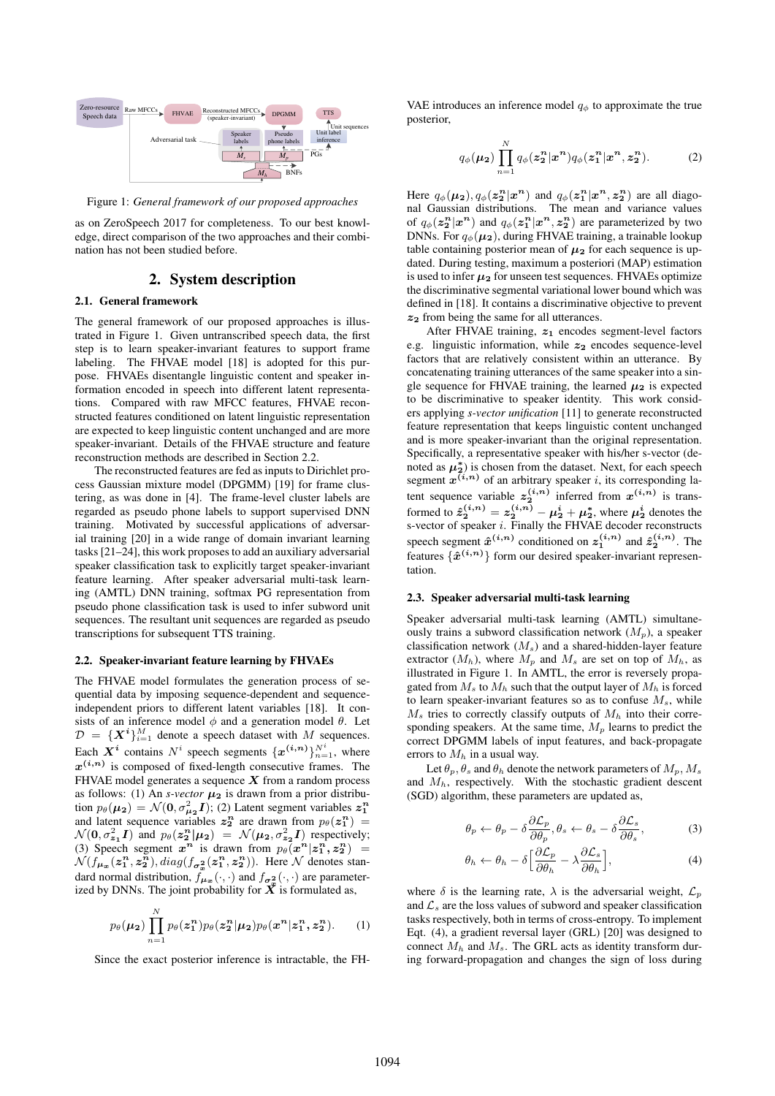

Figure 1: *General framework of our proposed approaches*

as on ZeroSpeech 2017 for completeness. To our best knowledge, direct comparison of the two approaches and their combination has not been studied before.

## 2. System description

#### 2.1. General framework

The general framework of our proposed approaches is illustrated in Figure 1. Given untranscribed speech data, the first step is to learn speaker-invariant features to support frame labeling. The FHVAE model [18] is adopted for this purpose. FHVAEs disentangle linguistic content and speaker information encoded in speech into different latent representations. Compared with raw MFCC features, FHVAE reconstructed features conditioned on latent linguistic representation are expected to keep linguistic content unchanged and are more speaker-invariant. Details of the FHVAE structure and feature reconstruction methods are described in Section 2.2.

The reconstructed features are fed as inputs to Dirichlet process Gaussian mixture model (DPGMM) [19] for frame clustering, as was done in [4]. The frame-level cluster labels are regarded as pseudo phone labels to support supervised DNN training. Motivated by successful applications of adversarial training [20] in a wide range of domain invariant learning tasks [21–24], this work proposes to add an auxiliary adversarial speaker classification task to explicitly target speaker-invariant feature learning. After speaker adversarial multi-task learning (AMTL) DNN training, softmax PG representation from pseudo phone classification task is used to infer subword unit sequences. The resultant unit sequences are regarded as pseudo transcriptions for subsequent TTS training.

#### 2.2. Speaker-invariant feature learning by FHVAEs

The FHVAE model formulates the generation process of sequential data by imposing sequence-dependent and sequenceindependent priors to different latent variables [18]. It consists of an inference model  $\phi$  and a generation model  $\theta$ . Let  $\mathcal{D} = \{ \boldsymbol{X}^i \}_{i=1}^M$  denote a speech dataset with M sequences. Each  $X^i$  contains  $N^i$  speech segments  $\{x^{(i,n)}\}_{n=1}^{N^i}$ , where  $x^{(i,n)}$  is composed of fixed-length consecutive frames. The FHVAE model generates a sequence  $X$  from a random process as follows: (1) An *s-vector*  $\mu_2$  is drawn from a prior distribution  $p_\theta(\mu_2) = \mathcal{N}(0, \sigma_{\mu_2}^2 I)$ ; (2) Latent segment variables  $z_1^n$ and latent sequence variables  $z_2^n$  are drawn from  $p_\theta(z_1^n) =$  $\mathcal{N}(\mathbf{0}, \sigma_{\mathbf{z}_1}^2 \mathbf{I})$  and  $p_\theta(\mathbf{z}_2^n | \mu_2) = \mathcal{N}(\mu_2, \sigma_{\mathbf{z}_2}^2 \mathbf{I})$  respectively; (3) Speech segment  $x^n$  is drawn from  $p_\theta(x^n|z_1^n, z_2^n)$  $\mathcal{N}(f_{\mu_{\bm{x}}}(\bm{z_1^n},\bm{z_2^n}), diag(f_{\bm{\sigma^2_{\bm{x}}}}(\bm{z_1^n},\bm{z_2^n})).$  Here  $\mathcal N$  denotes standard normal distribution,  $f_{\mu_{\mathcal{D}}}( \cdot, \cdot)$  and  $f_{\sigma_{\mathcal{D}}^2}( \cdot, \cdot)$  are parameterized by DNNs. The joint probability for  $\mathbf{\vec{X}}$  is formulated as,

$$
p_{\theta}(\boldsymbol{\mu_2}) \prod_{n=1}^{N} p_{\theta}(\boldsymbol{z_1^n}) p_{\theta}(\boldsymbol{z_2^n}|\boldsymbol{\mu_2}) p_{\theta}(\boldsymbol{x^n}|\boldsymbol{z_1^n}, \boldsymbol{z_2^n}). \qquad (1)
$$

Since the exact posterior inference is intractable, the FH-

VAE introduces an inference model  $q_{\phi}$  to approximate the true posterior,

$$
q_{\phi}(\boldsymbol{\mu_2}) \prod_{n=1}^N q_{\phi}(\boldsymbol{z_2^n}|\boldsymbol{x^n}) q_{\phi}(\boldsymbol{z_1^n}|\boldsymbol{x^n}, \boldsymbol{z_2^n}). \tag{2}
$$

Here  $q_{\phi}(\mu_2), q_{\phi}(z_2^n|x^n)$  and  $q_{\phi}(z_1^n|x^n, z_2^n)$  are all diagonal Gaussian distributions. The mean and variance values of  $q_{\phi}(z_2^n|x^n)$  and  $q_{\phi}(z_1^n|x^n,z_2^n)$  are parameterized by two DNNs. For  $q_{\phi}(\mu_2)$ , during FHVAE training, a trainable lookup table containing posterior mean of  $\mu_2$  for each sequence is updated. During testing, maximum a posteriori (MAP) estimation is used to infer  $\mu_2$  for unseen test sequences. FHVAEs optimize the discriminative segmental variational lower bound which was defined in [18]. It contains a discriminative objective to prevent  $z<sub>2</sub>$  from being the same for all utterances.

After FHVAE training,  $z_1$  encodes segment-level factors e.g. linguistic information, while  $z_2$  encodes sequence-level factors that are relatively consistent within an utterance. By concatenating training utterances of the same speaker into a single sequence for FHVAE training, the learned  $\mu_2$  is expected to be discriminative to speaker identity. This work considers applying *s-vector unification* [11] to generate reconstructed feature representation that keeps linguistic content unchanged and is more speaker-invariant than the original representation. Specifically, a representative speaker with his/her s-vector (denoted as  $\mu_2^*$ ) is chosen from the dataset. Next, for each speech segment  $x^{(i,n)}$  of an arbitrary speaker i, its corresponding latent sequence variable  $z_2^{(i,n)}$  inferred from  $x^{(i,n)}$  is transformed to  $\hat{z}_2^{(i,n)}=z_2^{(i,n)}-\mu_2^i+\mu_2^*$ , where  $\mu_2^i$  denotes the s-vector of speaker  $i$ . Finally the FHVAE decoder reconstructs speech segment  $\hat{x}^{(i,n)}$  conditioned on  $z_1^{(i,n)}$  and  $\hat{z}_2^{(i,n)}$ . The features  $\{\hat{x}^{(i,n)}\}$  form our desired speaker-invariant representation.

#### 2.3. Speaker adversarial multi-task learning

Speaker adversarial multi-task learning (AMTL) simultaneously trains a subword classification network  $(M_n)$ , a speaker classification network  $(M_s)$  and a shared-hidden-layer feature extractor  $(M_h)$ , where  $M_p$  and  $M_s$  are set on top of  $M_h$ , as illustrated in Figure 1. In AMTL, the error is reversely propagated from  $M_s$  to  $M_h$  such that the output layer of  $M_h$  is forced to learn speaker-invariant features so as to confuse  $M_s$ , while  $M_s$  tries to correctly classify outputs of  $M_h$  into their corresponding speakers. At the same time,  $M_p$  learns to predict the correct DPGMM labels of input features, and back-propagate errors to  $M_h$  in a usual way.

Let  $\theta_p$ ,  $\theta_s$  and  $\theta_h$  denote the network parameters of  $M_p$ ,  $M_s$ and  $M_h$ , respectively. With the stochastic gradient descent (SGD) algorithm, these parameters are updated as,

$$
\theta_p \leftarrow \theta_p - \delta \frac{\partial \mathcal{L}_p}{\partial \theta_p}, \theta_s \leftarrow \theta_s - \delta \frac{\partial \mathcal{L}_s}{\partial \theta_s},\tag{3}
$$

$$
\theta_h \leftarrow \theta_h - \delta \left[ \frac{\partial \mathcal{L}_p}{\partial \theta_h} - \lambda \frac{\partial \mathcal{L}_s}{\partial \theta_h} \right],\tag{4}
$$

where  $\delta$  is the learning rate,  $\lambda$  is the adversarial weight,  $\mathcal{L}_p$ and  $\mathcal{L}_s$  are the loss values of subword and speaker classification tasks respectively, both in terms of cross-entropy. To implement Eqt. (4), a gradient reversal layer (GRL) [20] was designed to connect  $M_h$  and  $M_s$ . The GRL acts as identity transform during forward-propagation and changes the sign of loss during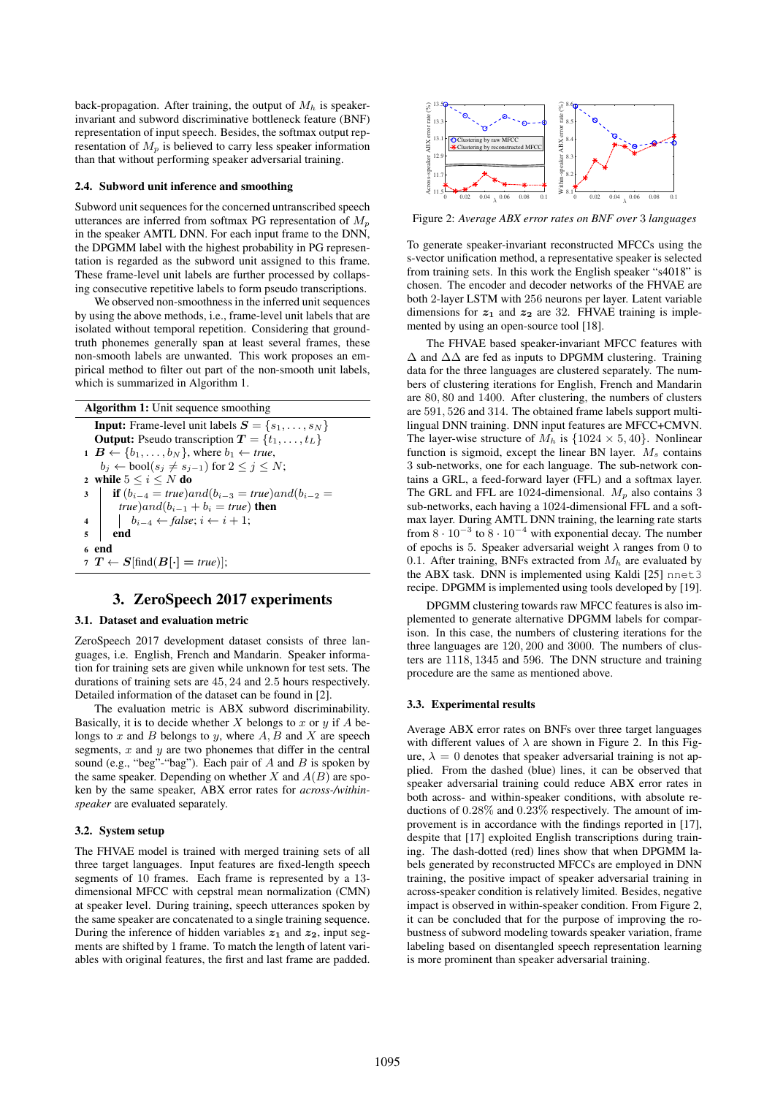back-propagation. After training, the output of  $M_h$  is speakerinvariant and subword discriminative bottleneck feature (BNF) representation of input speech. Besides, the softmax output representation of  $M_p$  is believed to carry less speaker information than that without performing speaker adversarial training.

#### 2.4. Subword unit inference and smoothing

Subword unit sequences for the concerned untranscribed speech utterances are inferred from softmax PG representation of  $M_p$ in the speaker AMTL DNN. For each input frame to the DNN, the DPGMM label with the highest probability in PG representation is regarded as the subword unit assigned to this frame. These frame-level unit labels are further processed by collapsing consecutive repetitive labels to form pseudo transcriptions.

We observed non-smoothness in the inferred unit sequences by using the above methods, i.e., frame-level unit labels that are isolated without temporal repetition. Considering that groundtruth phonemes generally span at least several frames, these non-smooth labels are unwanted. This work proposes an empirical method to filter out part of the non-smooth unit labels, which is summarized in Algorithm 1.

| <b>Algorithm 1:</b> Unit sequence smoothing                                               |
|-------------------------------------------------------------------------------------------|
| <b>Input:</b> Frame-level unit labels $S = \{s_1, \ldots, s_N\}$                          |
| <b>Output:</b> Pseudo transcription $T = \{t_1, \ldots, t_L\}$                            |
| $\mathbf{1} \ \mathbf{B} \leftarrow \{b_1, \ldots, b_N\}$ , where $b_1 \leftarrow true$ , |
| $b_i \leftarrow \text{bool}(s_i \neq s_{i-1})$ for $2 \leq j \leq N$ ;                    |
| 2 while $5 \leq i \leq N$ do                                                              |
| <b>if</b> $(b_{i-4} = true)$ and $(b_{i-3} = true)$ and $(b_{i-2} =$<br>3 <sup>1</sup>    |
| <i>true</i> ) $and(b_{i-1} + b_i = true)$ <b>then</b>                                     |
| 4   $b_{i-4} \leftarrow false; i \leftarrow i+1;$                                         |
| $\overline{\mathbf{5}}$<br>end                                                            |
| end<br>6                                                                                  |
| 7 $T \leftarrow S[\text{find}(B[\cdot] = true)];$                                         |

## 3. ZeroSpeech 2017 experiments

## 3.1. Dataset and evaluation metric

ZeroSpeech 2017 development dataset consists of three languages, i.e. English, French and Mandarin. Speaker information for training sets are given while unknown for test sets. The durations of training sets are 45, 24 and 2.5 hours respectively. Detailed information of the dataset can be found in [2].

The evaluation metric is ABX subword discriminability. Basically, it is to decide whether  $X$  belongs to  $x$  or  $y$  if  $A$  belongs to  $x$  and  $B$  belongs to  $y$ , where  $A, B$  and  $X$  are speech segments,  $x$  and  $y$  are two phonemes that differ in the central sound (e.g., "beg"-"bag"). Each pair of A and B is spoken by the same speaker. Depending on whether  $X$  and  $A(B)$  are spoken by the same speaker, ABX error rates for *across-/withinspeaker* are evaluated separately.

## 3.2. System setup

The FHVAE model is trained with merged training sets of all three target languages. Input features are fixed-length speech segments of 10 frames. Each frame is represented by a 13 dimensional MFCC with cepstral mean normalization (CMN) at speaker level. During training, speech utterances spoken by the same speaker are concatenated to a single training sequence. During the inference of hidden variables  $z_1$  and  $z_2$ , input segments are shifted by 1 frame. To match the length of latent variables with original features, the first and last frame are padded.



Figure 2: *Average ABX error rates on BNF over* 3 *languages*

To generate speaker-invariant reconstructed MFCCs using the s-vector unification method, a representative speaker is selected from training sets. In this work the English speaker "s4018" is chosen. The encoder and decoder networks of the FHVAE are both 2-layer LSTM with 256 neurons per layer. Latent variable dimensions for  $z_1$  and  $z_2$  are 32. FHVAE training is implemented by using an open-source tool [18].

The FHVAE based speaker-invariant MFCC features with  $\Delta$  and  $\Delta\Delta$  are fed as inputs to DPGMM clustering. Training data for the three languages are clustered separately. The numbers of clustering iterations for English, French and Mandarin are 80, 80 and 1400. After clustering, the numbers of clusters are 591, 526 and 314. The obtained frame labels support multilingual DNN training. DNN input features are MFCC+CMVN. The layer-wise structure of  $M_h$  is  $\{1024 \times 5, 40\}$ . Nonlinear function is sigmoid, except the linear BN layer.  $M_s$  contains 3 sub-networks, one for each language. The sub-network contains a GRL, a feed-forward layer (FFL) and a softmax layer. The GRL and FFL are 1024-dimensional.  $M_n$  also contains 3 sub-networks, each having a 1024-dimensional FFL and a softmax layer. During AMTL DNN training, the learning rate starts from  $8 \cdot 10^{-3}$  to  $8 \cdot 10^{-4}$  with exponential decay. The number of epochs is 5. Speaker adversarial weight  $\lambda$  ranges from 0 to 0.1. After training, BNFs extracted from  $M_h$  are evaluated by the ABX task. DNN is implemented using Kaldi [25] nnet3 recipe. DPGMM is implemented using tools developed by [19].

DPGMM clustering towards raw MFCC features is also implemented to generate alternative DPGMM labels for comparison. In this case, the numbers of clustering iterations for the three languages are 120, 200 and 3000. The numbers of clusters are 1118, 1345 and 596. The DNN structure and training procedure are the same as mentioned above.

#### 3.3. Experimental results

Average ABX error rates on BNFs over three target languages with different values of  $\lambda$  are shown in Figure 2. In this Figure,  $\lambda = 0$  denotes that speaker adversarial training is not applied. From the dashed (blue) lines, it can be observed that speaker adversarial training could reduce ABX error rates in both across- and within-speaker conditions, with absolute reductions of 0.28% and 0.23% respectively. The amount of improvement is in accordance with the findings reported in [17], despite that [17] exploited English transcriptions during training. The dash-dotted (red) lines show that when DPGMM labels generated by reconstructed MFCCs are employed in DNN training, the positive impact of speaker adversarial training in across-speaker condition is relatively limited. Besides, negative impact is observed in within-speaker condition. From Figure 2, it can be concluded that for the purpose of improving the robustness of subword modeling towards speaker variation, frame labeling based on disentangled speech representation learning is more prominent than speaker adversarial training.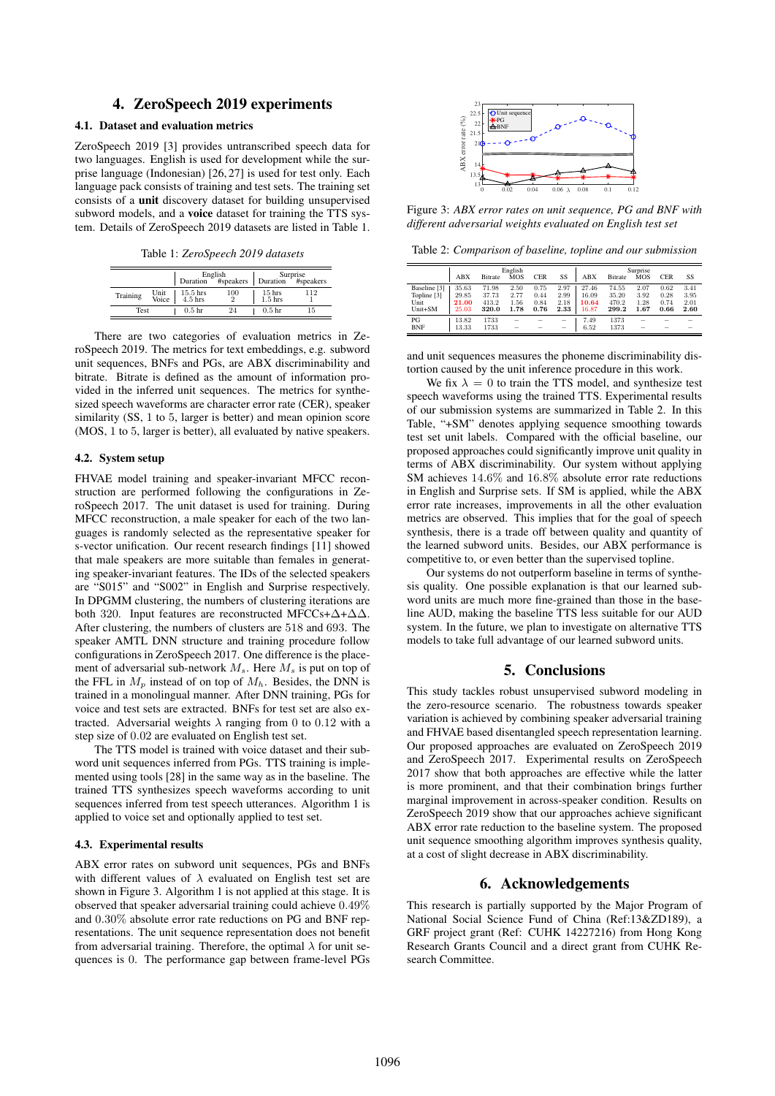# 4. ZeroSpeech 2019 experiments

## 4.1. Dataset and evaluation metrics

ZeroSpeech 2019 [3] provides untranscribed speech data for two languages. English is used for development while the surprise language (Indonesian) [26, 27] is used for test only. Each language pack consists of training and test sets. The training set consists of a unit discovery dataset for building unsupervised subword models, and a voice dataset for training the TTS system. Details of ZeroSpeech 2019 datasets are listed in Table 1.

Table 1: *ZeroSpeech 2019 datasets*

|          |               |                         | English<br>Duration #speakers | Surprise<br>Duration #speakers |     |  |
|----------|---------------|-------------------------|-------------------------------|--------------------------------|-----|--|
|          |               |                         |                               |                                |     |  |
| Training | Unit<br>Voice | $15.5$ hrs<br>$4.5$ hrs | 100                           | $15$ hrs<br>$1.5$ hrs          | 112 |  |
| Test     |               | 0.5 <sub>hr</sub>       | 24                            | 0.5 <sub>hr</sub>              | 15  |  |

There are two categories of evaluation metrics in ZeroSpeech 2019. The metrics for text embeddings, e.g. subword unit sequences, BNFs and PGs, are ABX discriminability and bitrate. Bitrate is defined as the amount of information provided in the inferred unit sequences. The metrics for synthesized speech waveforms are character error rate (CER), speaker similarity (SS, 1 to 5, larger is better) and mean opinion score (MOS, 1 to 5, larger is better), all evaluated by native speakers.

#### 4.2. System setup

FHVAE model training and speaker-invariant MFCC reconstruction are performed following the configurations in ZeroSpeech 2017. The unit dataset is used for training. During MFCC reconstruction, a male speaker for each of the two languages is randomly selected as the representative speaker for s-vector unification. Our recent research findings [11] showed that male speakers are more suitable than females in generating speaker-invariant features. The IDs of the selected speakers are "S015" and "S002" in English and Surprise respectively. In DPGMM clustering, the numbers of clustering iterations are both 320. Input features are reconstructed MFCCs+∆+∆∆. After clustering, the numbers of clusters are 518 and 693. The speaker AMTL DNN structure and training procedure follow configurations in ZeroSpeech 2017. One difference is the placement of adversarial sub-network  $M_s$ . Here  $M_s$  is put on top of the FFL in  $M_p$  instead of on top of  $M_h$ . Besides, the DNN is trained in a monolingual manner. After DNN training, PGs for voice and test sets are extracted. BNFs for test set are also extracted. Adversarial weights  $\lambda$  ranging from 0 to 0.12 with a step size of 0.02 are evaluated on English test set.

The TTS model is trained with voice dataset and their subword unit sequences inferred from PGs. TTS training is implemented using tools [28] in the same way as in the baseline. The trained TTS synthesizes speech waveforms according to unit sequences inferred from test speech utterances. Algorithm 1 is applied to voice set and optionally applied to test set.

#### 4.3. Experimental results

ABX error rates on subword unit sequences, PGs and BNFs with different values of  $\lambda$  evaluated on English test set are shown in Figure 3. Algorithm 1 is not applied at this stage. It is observed that speaker adversarial training could achieve 0.49% and 0.30% absolute error rate reductions on PG and BNF representations. The unit sequence representation does not benefit from adversarial training. Therefore, the optimal  $\lambda$  for unit sequences is 0. The performance gap between frame-level PGs



Figure 3: *ABX error rates on unit sequence, PG and BNF with different adversarial weights evaluated on English test set*

Table 2: *Comparison of baseline, topline and our submission*

|              | English |         |            |            | Surprise |       |         |            |            |      |
|--------------|---------|---------|------------|------------|----------|-------|---------|------------|------------|------|
|              | ABX     | Bitrate | <b>MOS</b> | <b>CER</b> | SS       | ABX   | Bitrate | <b>MOS</b> | <b>CER</b> | SS   |
| Baseline [3] | 35.63   | 71.98   | 2.50       | 0.75       | 2.97     | 27.46 | 74.55   | 2.07       | 0.62       | 3.41 |
| Topline [3]  | 29.85   | 37.73   | 2.77       | 0.44       | 2.99     | 16.09 | 35.20   | 3.92       | 0.28       | 3.95 |
| Unit         | 21.00   | 413.2   | 1.56       | 0.84       | 2.18     | 10.64 | 470.2   | 1.28       | 0.74       | 2.01 |
| $Unit+SM$    | 25.03   | 320.0   | 1.78       | 0.76       | 2.33     | 16.87 | 299.2   | 1.67       | 0.66       | 2.60 |
| PG           | 13.82   | 1733    | -          | -          | -        | 7.49  | 1373    | -          | -          |      |
| <b>BNF</b>   | 13.33   | 1733    | $\equiv$   | -          | -        | 6.52  | 1373    | -          | -          |      |

and unit sequences measures the phoneme discriminability distortion caused by the unit inference procedure in this work.

We fix  $\lambda = 0$  to train the TTS model, and synthesize test speech waveforms using the trained TTS. Experimental results of our submission systems are summarized in Table 2. In this Table, "+SM" denotes applying sequence smoothing towards test set unit labels. Compared with the official baseline, our proposed approaches could significantly improve unit quality in terms of ABX discriminability. Our system without applying SM achieves 14.6% and 16.8% absolute error rate reductions in English and Surprise sets. If SM is applied, while the ABX error rate increases, improvements in all the other evaluation metrics are observed. This implies that for the goal of speech synthesis, there is a trade off between quality and quantity of the learned subword units. Besides, our ABX performance is competitive to, or even better than the supervised topline.

Our systems do not outperform baseline in terms of synthesis quality. One possible explanation is that our learned subword units are much more fine-grained than those in the baseline AUD, making the baseline TTS less suitable for our AUD system. In the future, we plan to investigate on alternative TTS models to take full advantage of our learned subword units.

## 5. Conclusions

This study tackles robust unsupervised subword modeling in the zero-resource scenario. The robustness towards speaker variation is achieved by combining speaker adversarial training and FHVAE based disentangled speech representation learning. Our proposed approaches are evaluated on ZeroSpeech 2019 and ZeroSpeech 2017. Experimental results on ZeroSpeech 2017 show that both approaches are effective while the latter is more prominent, and that their combination brings further marginal improvement in across-speaker condition. Results on ZeroSpeech 2019 show that our approaches achieve significant ABX error rate reduction to the baseline system. The proposed unit sequence smoothing algorithm improves synthesis quality, at a cost of slight decrease in ABX discriminability.

## 6. Acknowledgements

This research is partially supported by the Major Program of National Social Science Fund of China (Ref:13&ZD189), a GRF project grant (Ref: CUHK 14227216) from Hong Kong Research Grants Council and a direct grant from CUHK Research Committee.